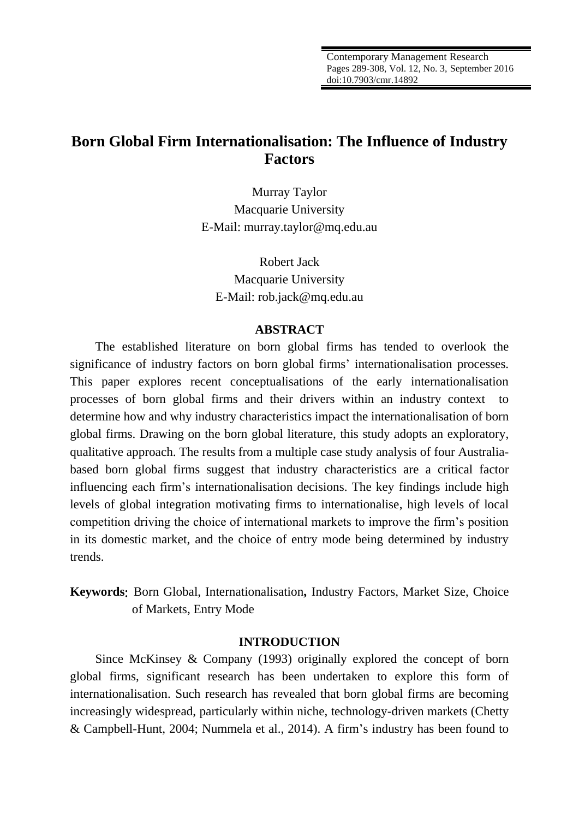# **Born Global Firm Internationalisation: The Influence of Industry Factors**

Murray Taylor Macquarie University E-Mail: murray.taylor@mq.edu.au

Robert Jack Macquarie University E-Mail: rob.jack@mq.edu.au

## **ABSTRACT**

The established literature on born global firms has tended to overlook the significance of industry factors on born global firms' internationalisation processes. This paper explores recent conceptualisations of the early internationalisation processes of born global firms and their drivers within an industry context to determine how and why industry characteristics impact the internationalisation of born global firms. Drawing on the born global literature, this study adopts an exploratory, qualitative approach. The results from a multiple case study analysis of four Australiabased born global firms suggest that industry characteristics are a critical factor influencing each firm's internationalisation decisions. The key findings include high levels of global integration motivating firms to internationalise, high levels of local competition driving the choice of international markets to improve the firm's position in its domestic market, and the choice of entry mode being determined by industry trends.

**Keywords**: Born Global, Internationalisation**,** Industry Factors, Market Size, Choice of Markets, Entry Mode

#### **INTRODUCTION**

Since McKinsey & Company (1993) originally explored the concept of born global firms, significant research has been undertaken to explore this form of internationalisation. Such research has revealed that born global firms are becoming increasingly widespread, particularly within niche, technology-driven markets (Chetty & Campbell-Hunt, 2004; Nummela et al., 2014). A firm's industry has been found to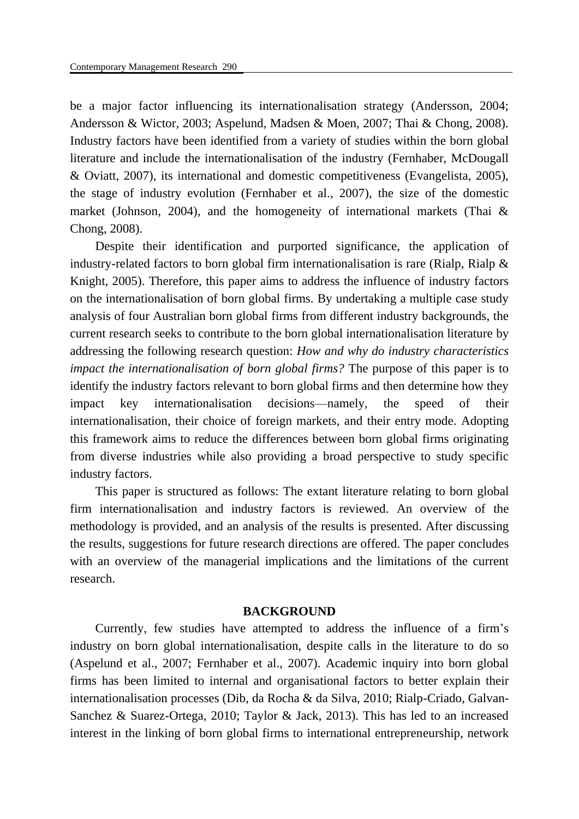be a major factor influencing its internationalisation strategy (Andersson, 2004; Andersson & Wictor, 2003; Aspelund, Madsen & Moen, 2007; Thai & Chong, 2008). Industry factors have been identified from a variety of studies within the born global literature and include the internationalisation of the industry (Fernhaber, McDougall & Oviatt, 2007), its international and domestic competitiveness (Evangelista, 2005), the stage of industry evolution (Fernhaber et al., 2007), the size of the domestic market (Johnson, 2004), and the homogeneity of international markets (Thai & Chong, 2008).

Despite their identification and purported significance, the application of industry-related factors to born global firm internationalisation is rare (Rialp, Rialp & Knight, 2005). Therefore, this paper aims to address the influence of industry factors on the internationalisation of born global firms. By undertaking a multiple case study analysis of four Australian born global firms from different industry backgrounds, the current research seeks to contribute to the born global internationalisation literature by addressing the following research question: *How and why do industry characteristics impact the internationalisation of born global firms?* The purpose of this paper is to identify the industry factors relevant to born global firms and then determine how they impact key internationalisation decisions—namely, the speed of their internationalisation, their choice of foreign markets, and their entry mode. Adopting this framework aims to reduce the differences between born global firms originating from diverse industries while also providing a broad perspective to study specific industry factors.

This paper is structured as follows: The extant literature relating to born global firm internationalisation and industry factors is reviewed. An overview of the methodology is provided, and an analysis of the results is presented. After discussing the results, suggestions for future research directions are offered. The paper concludes with an overview of the managerial implications and the limitations of the current research.

#### **BACKGROUND**

Currently, few studies have attempted to address the influence of a firm's industry on born global internationalisation, despite calls in the literature to do so (Aspelund et al., 2007; Fernhaber et al., 2007). Academic inquiry into born global firms has been limited to internal and organisational factors to better explain their internationalisation processes (Dib, da Rocha & da Silva, 2010; Rialp-Criado, Galvan-Sanchez & Suarez-Ortega, 2010; Taylor & Jack, 2013). This has led to an increased interest in the linking of born global firms to international entrepreneurship, network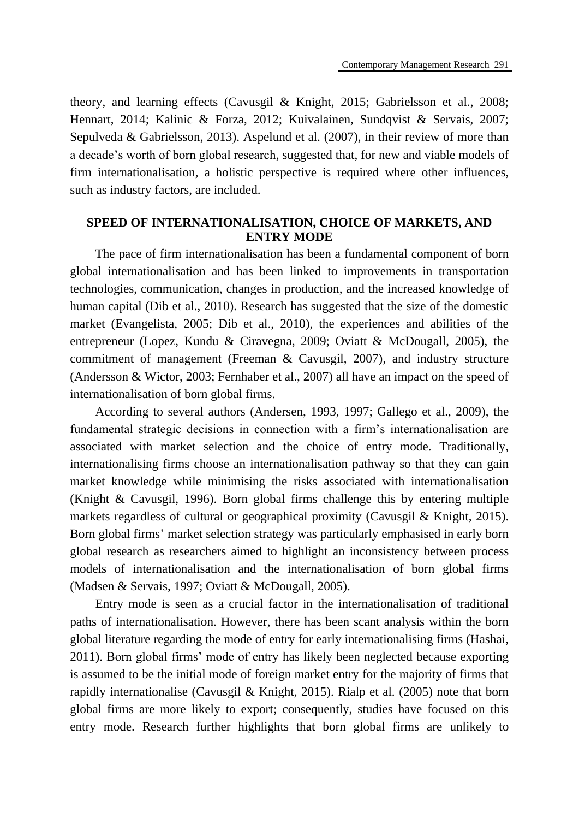theory, and learning effects (Cavusgil & Knight, 2015; Gabrielsson et al., 2008; Hennart, 2014; Kalinic & Forza, 2012; Kuivalainen, Sundqvist & Servais, 2007; Sepulveda & Gabrielsson, 2013). Aspelund et al. (2007), in their review of more than a decade's worth of born global research, suggested that, for new and viable models of firm internationalisation, a holistic perspective is required where other influences, such as industry factors, are included.

# **SPEED OF INTERNATIONALISATION, CHOICE OF MARKETS, AND ENTRY MODE**

The pace of firm internationalisation has been a fundamental component of born global internationalisation and has been linked to improvements in transportation technologies, communication, changes in production, and the increased knowledge of human capital (Dib et al., 2010). Research has suggested that the size of the domestic market (Evangelista, 2005; Dib et al., 2010), the experiences and abilities of the entrepreneur (Lopez, Kundu & Ciravegna, 2009; Oviatt & McDougall, 2005), the commitment of management (Freeman & Cavusgil, 2007), and industry structure (Andersson & Wictor, 2003; Fernhaber et al., 2007) all have an impact on the speed of internationalisation of born global firms.

According to several authors (Andersen, 1993, 1997; Gallego et al., 2009), the fundamental strategic decisions in connection with a firm's internationalisation are associated with market selection and the choice of entry mode. Traditionally, internationalising firms choose an internationalisation pathway so that they can gain market knowledge while minimising the risks associated with internationalisation (Knight & Cavusgil, 1996). Born global firms challenge this by entering multiple markets regardless of cultural or geographical proximity (Cavusgil & Knight, 2015). Born global firms' market selection strategy was particularly emphasised in early born global research as researchers aimed to highlight an inconsistency between process models of internationalisation and the internationalisation of born global firms (Madsen & Servais, 1997; Oviatt & McDougall, 2005).

Entry mode is seen as a crucial factor in the internationalisation of traditional paths of internationalisation. However, there has been scant analysis within the born global literature regarding the mode of entry for early internationalising firms (Hashai, 2011). Born global firms' mode of entry has likely been neglected because exporting is assumed to be the initial mode of foreign market entry for the majority of firms that rapidly internationalise (Cavusgil & Knight, 2015). Rialp et al. (2005) note that born global firms are more likely to export; consequently, studies have focused on this entry mode. Research further highlights that born global firms are unlikely to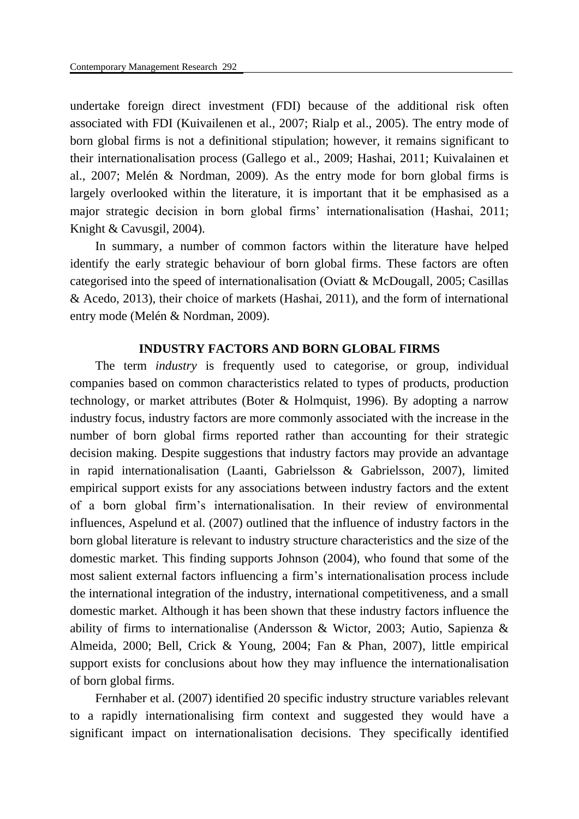undertake foreign direct investment (FDI) because of the additional risk often associated with FDI (Kuivailenen et al., 2007; Rialp et al., 2005). The entry mode of born global firms is not a definitional stipulation; however, it remains significant to their internationalisation process (Gallego et al., 2009; Hashai, 2011; Kuivalainen et al., 2007; Melén & Nordman, 2009). As the entry mode for born global firms is largely overlooked within the literature, it is important that it be emphasised as a major strategic decision in born global firms' internationalisation (Hashai, 2011; Knight & Cavusgil, 2004).

In summary, a number of common factors within the literature have helped identify the early strategic behaviour of born global firms. These factors are often categorised into the speed of internationalisation (Oviatt & McDougall, 2005; Casillas & Acedo, 2013), their choice of markets (Hashai, 2011), and the form of international entry mode (Melén & Nordman, 2009).

#### **INDUSTRY FACTORS AND BORN GLOBAL FIRMS**

The term *industry* is frequently used to categorise, or group, individual companies based on common characteristics related to types of products, production technology, or market attributes (Boter & Holmquist, 1996). By adopting a narrow industry focus, industry factors are more commonly associated with the increase in the number of born global firms reported rather than accounting for their strategic decision making. Despite suggestions that industry factors may provide an advantage in rapid internationalisation (Laanti, Gabrielsson & Gabrielsson, 2007), limited empirical support exists for any associations between industry factors and the extent of a born global firm's internationalisation. In their review of environmental influences, Aspelund et al. (2007) outlined that the influence of industry factors in the born global literature is relevant to industry structure characteristics and the size of the domestic market. This finding supports Johnson (2004), who found that some of the most salient external factors influencing a firm's internationalisation process include the international integration of the industry, international competitiveness, and a small domestic market. Although it has been shown that these industry factors influence the ability of firms to internationalise (Andersson & Wictor, 2003; Autio, Sapienza & Almeida, 2000; Bell, Crick & Young, 2004; Fan & Phan, 2007), little empirical support exists for conclusions about how they may influence the internationalisation of born global firms.

Fernhaber et al. (2007) identified 20 specific industry structure variables relevant to a rapidly internationalising firm context and suggested they would have a significant impact on internationalisation decisions. They specifically identified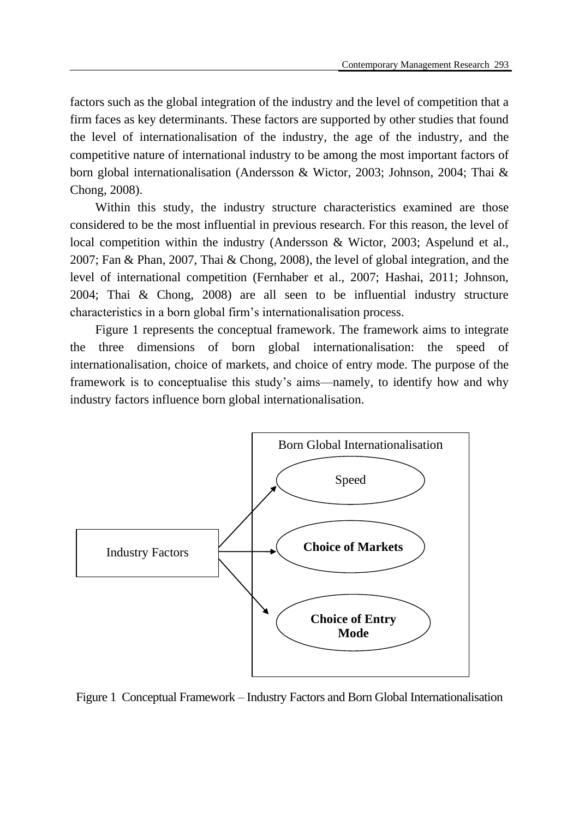factors such as the global integration of the industry and the level of competition that a firm faces as key determinants. These factors are supported by other studies that found the level of internationalisation of the industry, the age of the industry, and the competitive nature of international industry to be among the most important factors of born global internationalisation (Andersson & Wictor, 2003; Johnson, 2004; Thai & Chong, 2008).

Within this study, the industry structure characteristics examined are those considered to be the most influential in previous research. For this reason, the level of local competition within the industry (Andersson & Wictor, 2003; Aspelund et al., 2007; Fan & Phan, 2007, Thai & Chong, 2008), the level of global integration, and the level of international competition (Fernhaber et al., 2007; Hashai, 2011; Johnson, 2004; Thai & Chong, 2008) are all seen to be influential industry structure characteristics in a born global firm's internationalisation process.

Figure 1 represents the conceptual framework. The framework aims to integrate the three dimensions of born global internationalisation: the speed of internationalisation, choice of markets, and choice of entry mode. The purpose of the framework is to conceptualise this study's aims—namely, to identify how and why industry factors influence born global internationalisation.



Figure 1 Conceptual Framework – Industry Factors and Born Global Internationalisation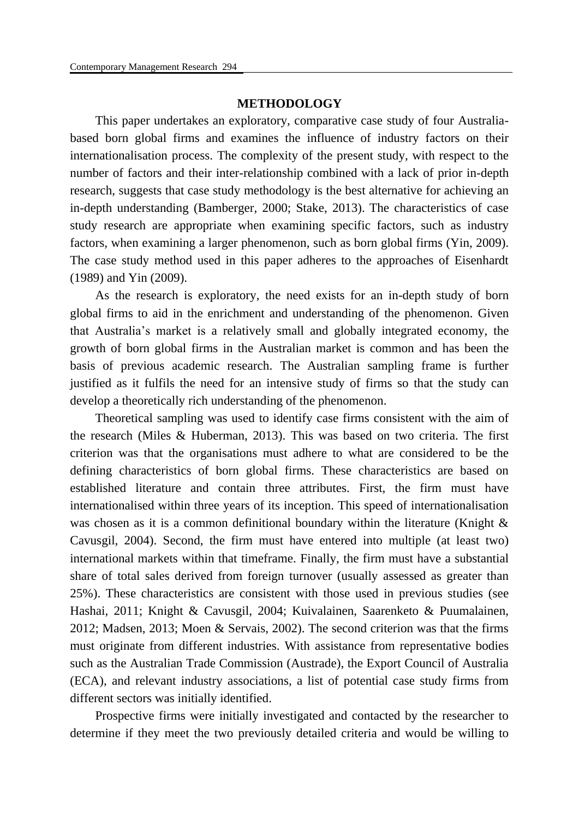#### **METHODOLOGY**

This paper undertakes an exploratory, comparative case study of four Australiabased born global firms and examines the influence of industry factors on their internationalisation process. The complexity of the present study, with respect to the number of factors and their inter-relationship combined with a lack of prior in-depth research, suggests that case study methodology is the best alternative for achieving an in-depth understanding (Bamberger, 2000; Stake, 2013). The characteristics of case study research are appropriate when examining specific factors, such as industry factors, when examining a larger phenomenon, such as born global firms (Yin, 2009). The case study method used in this paper adheres to the approaches of Eisenhardt (1989) and Yin (2009).

As the research is exploratory, the need exists for an in-depth study of born global firms to aid in the enrichment and understanding of the phenomenon. Given that Australia's market is a relatively small and globally integrated economy, the growth of born global firms in the Australian market is common and has been the basis of previous academic research. The Australian sampling frame is further justified as it fulfils the need for an intensive study of firms so that the study can develop a theoretically rich understanding of the phenomenon.

Theoretical sampling was used to identify case firms consistent with the aim of the research (Miles & Huberman, 2013). This was based on two criteria. The first criterion was that the organisations must adhere to what are considered to be the defining characteristics of born global firms. These characteristics are based on established literature and contain three attributes. First, the firm must have internationalised within three years of its inception. This speed of internationalisation was chosen as it is a common definitional boundary within the literature (Knight & Cavusgil, 2004). Second, the firm must have entered into multiple (at least two) international markets within that timeframe. Finally, the firm must have a substantial share of total sales derived from foreign turnover (usually assessed as greater than 25%). These characteristics are consistent with those used in previous studies (see Hashai, 2011; Knight & Cavusgil, 2004; Kuivalainen, Saarenketo & Puumalainen, 2012; Madsen, 2013; Moen & Servais, 2002). The second criterion was that the firms must originate from different industries. With assistance from representative bodies such as the Australian Trade Commission (Austrade), the Export Council of Australia (ECA), and relevant industry associations, a list of potential case study firms from different sectors was initially identified.

Prospective firms were initially investigated and contacted by the researcher to determine if they meet the two previously detailed criteria and would be willing to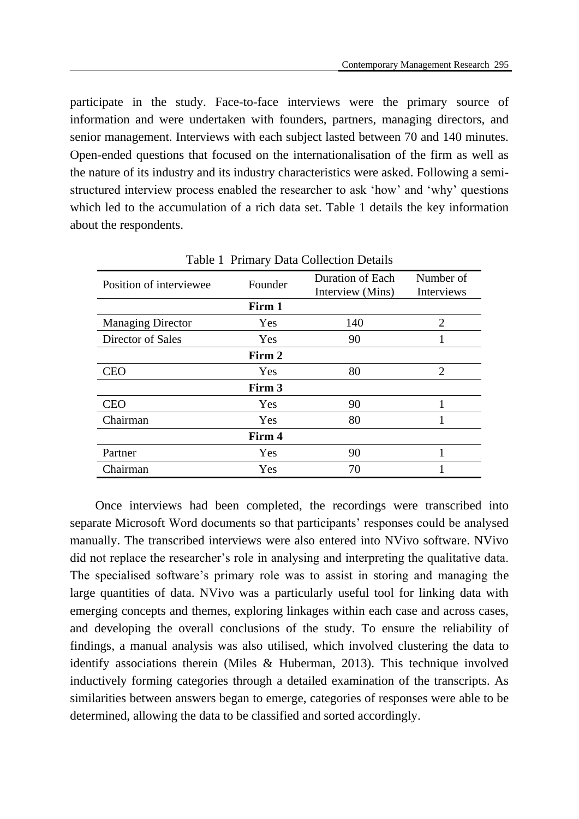participate in the study. Face-to-face interviews were the primary source of information and were undertaken with founders, partners, managing directors, and senior management. Interviews with each subject lasted between 70 and 140 minutes. Open-ended questions that focused on the internationalisation of the firm as well as the nature of its industry and its industry characteristics were asked. Following a semistructured interview process enabled the researcher to ask 'how' and 'why' questions which led to the accumulation of a rich data set. Table 1 details the key information about the respondents.

| Position of interviewee  | Founder | Duration of Each<br>Interview (Mins) | Number of<br>Interviews     |  |  |
|--------------------------|---------|--------------------------------------|-----------------------------|--|--|
|                          | Firm 1  |                                      |                             |  |  |
| <b>Managing Director</b> | Yes     | 140                                  | $\overline{2}$              |  |  |
| Director of Sales        | Yes     | 90                                   | 1                           |  |  |
|                          | Firm 2  |                                      |                             |  |  |
| <b>CEO</b>               | Yes     | 80                                   | $\mathcal{D}_{\mathcal{L}}$ |  |  |
|                          | Firm 3  |                                      |                             |  |  |
| CEO                      | Yes     | 90                                   |                             |  |  |
| Chairman                 | Yes     | 80                                   |                             |  |  |
|                          | Firm 4  |                                      |                             |  |  |
| Partner                  | Yes     | 90                                   |                             |  |  |
| Chairman                 | Yes     | 70                                   |                             |  |  |

Table 1 Primary Data Collection Details

Once interviews had been completed, the recordings were transcribed into separate Microsoft Word documents so that participants' responses could be analysed manually. The transcribed interviews were also entered into NVivo software. NVivo did not replace the researcher's role in analysing and interpreting the qualitative data. The specialised software's primary role was to assist in storing and managing the large quantities of data. NVivo was a particularly useful tool for linking data with emerging concepts and themes, exploring linkages within each case and across cases, and developing the overall conclusions of the study. To ensure the reliability of findings, a manual analysis was also utilised, which involved clustering the data to identify associations therein (Miles & Huberman, 2013). This technique involved inductively forming categories through a detailed examination of the transcripts. As similarities between answers began to emerge, categories of responses were able to be determined, allowing the data to be classified and sorted accordingly.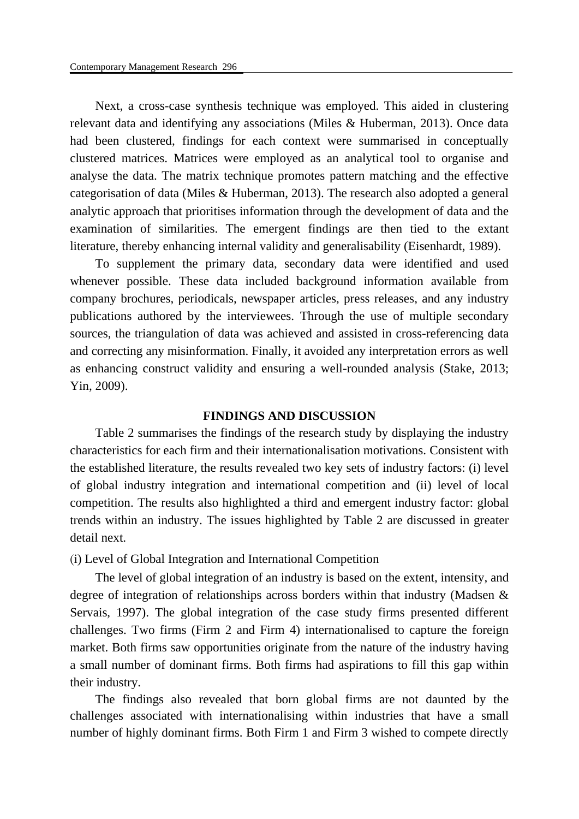Next, a cross-case synthesis technique was employed. This aided in clustering relevant data and identifying any associations (Miles & Huberman, 2013). Once data had been clustered, findings for each context were summarised in conceptually clustered matrices. Matrices were employed as an analytical tool to organise and analyse the data. The matrix technique promotes pattern matching and the effective categorisation of data (Miles & Huberman, 2013). The research also adopted a general analytic approach that prioritises information through the development of data and the examination of similarities. The emergent findings are then tied to the extant literature, thereby enhancing internal validity and generalisability (Eisenhardt, 1989).

To supplement the primary data, secondary data were identified and used whenever possible. These data included background information available from company brochures, periodicals, newspaper articles, press releases, and any industry publications authored by the interviewees. Through the use of multiple secondary sources, the triangulation of data was achieved and assisted in cross-referencing data and correcting any misinformation. Finally, it avoided any interpretation errors as well as enhancing construct validity and ensuring a well-rounded analysis (Stake, 2013; Yin, 2009).

#### **FINDINGS AND DISCUSSION**

Table 2 summarises the findings of the research study by displaying the industry characteristics for each firm and their internationalisation motivations. Consistent with the established literature, the results revealed two key sets of industry factors: (i) level of global industry integration and international competition and (ii) level of local competition. The results also highlighted a third and emergent industry factor: global trends within an industry. The issues highlighted by Table 2 are discussed in greater detail next.

(i) Level of Global Integration and International Competition

The level of global integration of an industry is based on the extent, intensity, and degree of integration of relationships across borders within that industry (Madsen & Servais, 1997). The global integration of the case study firms presented different challenges. Two firms (Firm 2 and Firm 4) internationalised to capture the foreign market. Both firms saw opportunities originate from the nature of the industry having a small number of dominant firms. Both firms had aspirations to fill this gap within their industry.

The findings also revealed that born global firms are not daunted by the challenges associated with internationalising within industries that have a small number of highly dominant firms. Both Firm 1 and Firm 3 wished to compete directly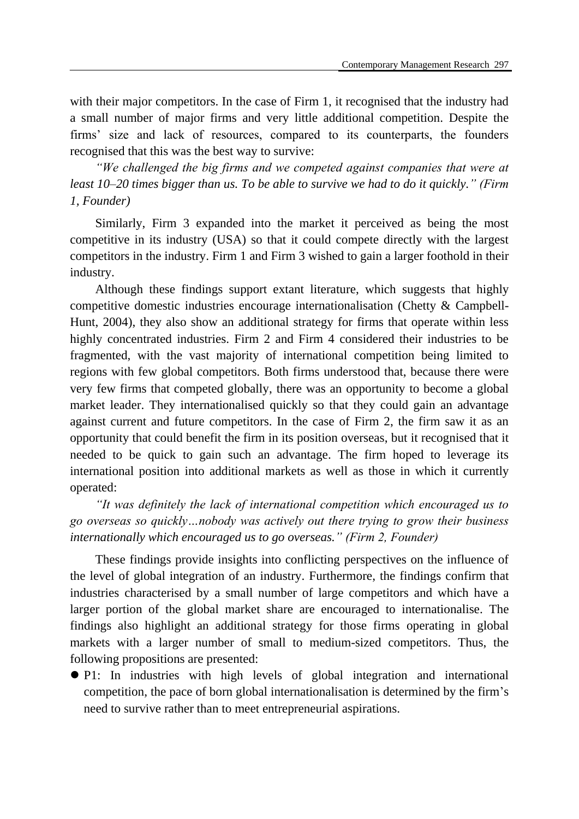with their major competitors. In the case of Firm 1, it recognised that the industry had a small number of major firms and very little additional competition. Despite the firms' size and lack of resources, compared to its counterparts, the founders recognised that this was the best way to survive:

*"We challenged the big firms and we competed against companies that were at least 10–20 times bigger than us. To be able to survive we had to do it quickly." (Firm 1, Founder)*

Similarly, Firm 3 expanded into the market it perceived as being the most competitive in its industry (USA) so that it could compete directly with the largest competitors in the industry. Firm 1 and Firm 3 wished to gain a larger foothold in their industry.

Although these findings support extant literature, which suggests that highly competitive domestic industries encourage internationalisation (Chetty & Campbell-Hunt, 2004), they also show an additional strategy for firms that operate within less highly concentrated industries. Firm 2 and Firm 4 considered their industries to be fragmented, with the vast majority of international competition being limited to regions with few global competitors. Both firms understood that, because there were very few firms that competed globally, there was an opportunity to become a global market leader. They internationalised quickly so that they could gain an advantage against current and future competitors. In the case of Firm 2, the firm saw it as an opportunity that could benefit the firm in its position overseas, but it recognised that it needed to be quick to gain such an advantage. The firm hoped to leverage its international position into additional markets as well as those in which it currently operated:

*"It was definitely the lack of international competition which encouraged us to go overseas so quickly…nobody was actively out there trying to grow their business internationally which encouraged us to go overseas." (Firm 2, Founder)*

These findings provide insights into conflicting perspectives on the influence of the level of global integration of an industry. Furthermore, the findings confirm that industries characterised by a small number of large competitors and which have a larger portion of the global market share are encouraged to internationalise. The findings also highlight an additional strategy for those firms operating in global markets with a larger number of small to medium-sized competitors. Thus, the following propositions are presented:

 P1: In industries with high levels of global integration and international competition, the pace of born global internationalisation is determined by the firm's need to survive rather than to meet entrepreneurial aspirations.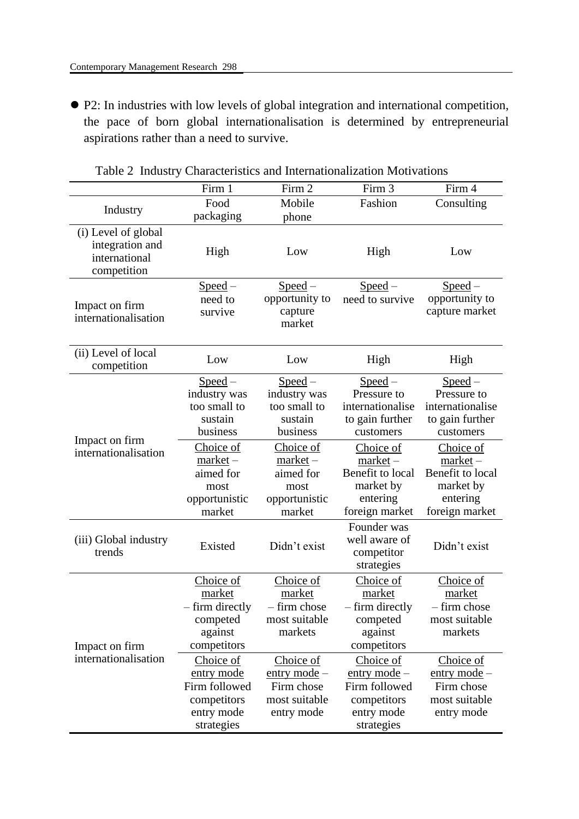P2: In industries with low levels of global integration and international competition, the pace of born global internationalisation is determined by entrepreneurial aspirations rather than a need to survive.

|                                                                        | Firm 1                                                                              | Firm 2                                                                   | Firm 3                                                                                 | Firm 4                                                                                 |
|------------------------------------------------------------------------|-------------------------------------------------------------------------------------|--------------------------------------------------------------------------|----------------------------------------------------------------------------------------|----------------------------------------------------------------------------------------|
| Industry                                                               | Food                                                                                | Mobile                                                                   | Fashion                                                                                | Consulting                                                                             |
|                                                                        | packaging                                                                           | phone                                                                    |                                                                                        |                                                                                        |
| (i) Level of global<br>integration and<br>international<br>competition | High                                                                                | Low                                                                      | High                                                                                   | Low                                                                                    |
| Impact on firm<br>internationalisation                                 | $Speed -$<br>need to<br>survive                                                     | $Speed -$<br>opportunity to<br>capture<br>market                         | $Speed -$<br>need to survive                                                           | $Speed -$<br>opportunity to<br>capture market                                          |
| (ii) Level of local<br>competition                                     | Low                                                                                 | Low                                                                      | High                                                                                   | High                                                                                   |
| Impact on firm<br>internationalisation                                 | $Speed -$<br>industry was<br>too small to<br>sustain<br>business                    | $Speed -$<br>industry was<br>too small to<br>sustain<br>business         | $Speed -$<br>Pressure to<br>internationalise<br>to gain further<br>customers           | $Speed -$<br>Pressure to<br>internationalise<br>to gain further<br>customers           |
|                                                                        | Choice of<br>$market -$<br>aimed for<br>most<br>opportunistic<br>market             | Choice of<br>$market -$<br>aimed for<br>most<br>opportunistic<br>market  | Choice of<br>$market -$<br>Benefit to local<br>market by<br>entering<br>foreign market | Choice of<br>$market -$<br>Benefit to local<br>market by<br>entering<br>foreign market |
| (iii) Global industry<br>trends                                        | Existed                                                                             | Didn't exist                                                             | Founder was<br>well aware of<br>competitor<br>strategies                               | Didn't exist                                                                           |
| Impact on firm<br>internationalisation                                 | Choice of<br>market<br>– firm directly<br>competed<br>against<br>competitors        | Choice of<br>market<br>- firm chose<br>most suitable<br>markets          | Choice of<br>market<br>– firm directly<br>competed<br>against<br>competitors           | Choice of<br>market<br>- firm chose<br>most suitable<br>markets                        |
|                                                                        | Choice of<br>entry mode<br>Firm followed<br>competitors<br>entry mode<br>strategies | Choice of<br>entry mode $-$<br>Firm chose<br>most suitable<br>entry mode | Choice of<br>entry mode -<br>Firm followed<br>competitors<br>entry mode<br>strategies  | Choice of<br><u>entry</u> mode $-$<br>Firm chose<br>most suitable<br>entry mode        |

Table 2 Industry Characteristics and Internationalization Motivations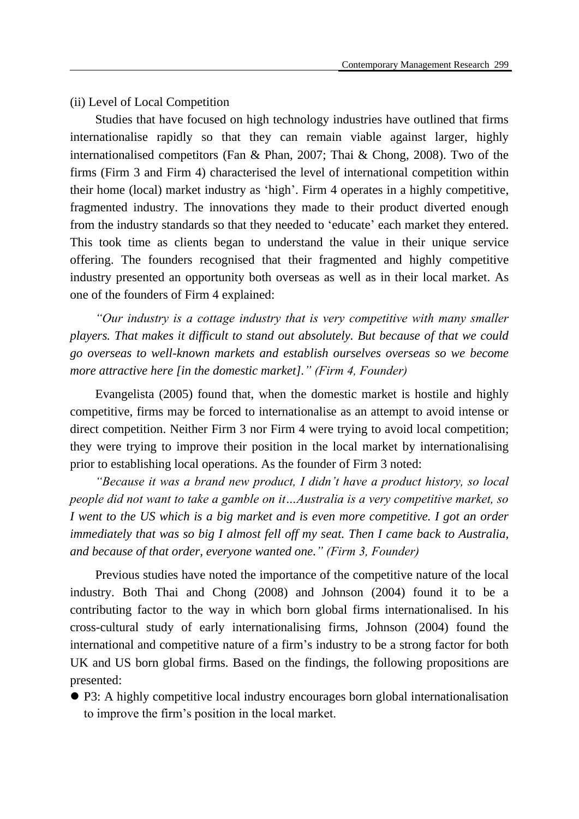## (ii) Level of Local Competition

Studies that have focused on high technology industries have outlined that firms internationalise rapidly so that they can remain viable against larger, highly internationalised competitors (Fan & Phan, 2007; Thai & Chong, 2008). Two of the firms (Firm 3 and Firm 4) characterised the level of international competition within their home (local) market industry as 'high'. Firm 4 operates in a highly competitive, fragmented industry. The innovations they made to their product diverted enough from the industry standards so that they needed to 'educate' each market they entered. This took time as clients began to understand the value in their unique service offering. The founders recognised that their fragmented and highly competitive industry presented an opportunity both overseas as well as in their local market. As one of the founders of Firm 4 explained:

*"Our industry is a cottage industry that is very competitive with many smaller players. That makes it difficult to stand out absolutely. But because of that we could go overseas to well-known markets and establish ourselves overseas so we become more attractive here [in the domestic market]." (Firm 4, Founder)*

Evangelista (2005) found that, when the domestic market is hostile and highly competitive, firms may be forced to internationalise as an attempt to avoid intense or direct competition. Neither Firm 3 nor Firm 4 were trying to avoid local competition; they were trying to improve their position in the local market by internationalising prior to establishing local operations. As the founder of Firm 3 noted:

*"Because it was a brand new product, I didn't have a product history, so local people did not want to take a gamble on it…Australia is a very competitive market, so I went to the US which is a big market and is even more competitive. I got an order immediately that was so big I almost fell off my seat. Then I came back to Australia, and because of that order, everyone wanted one." (Firm 3, Founder)*

Previous studies have noted the importance of the competitive nature of the local industry. Both Thai and Chong (2008) and Johnson (2004) found it to be a contributing factor to the way in which born global firms internationalised. In his cross-cultural study of early internationalising firms, Johnson (2004) found the international and competitive nature of a firm's industry to be a strong factor for both UK and US born global firms. Based on the findings, the following propositions are presented:

 P3: A highly competitive local industry encourages born global internationalisation to improve the firm's position in the local market.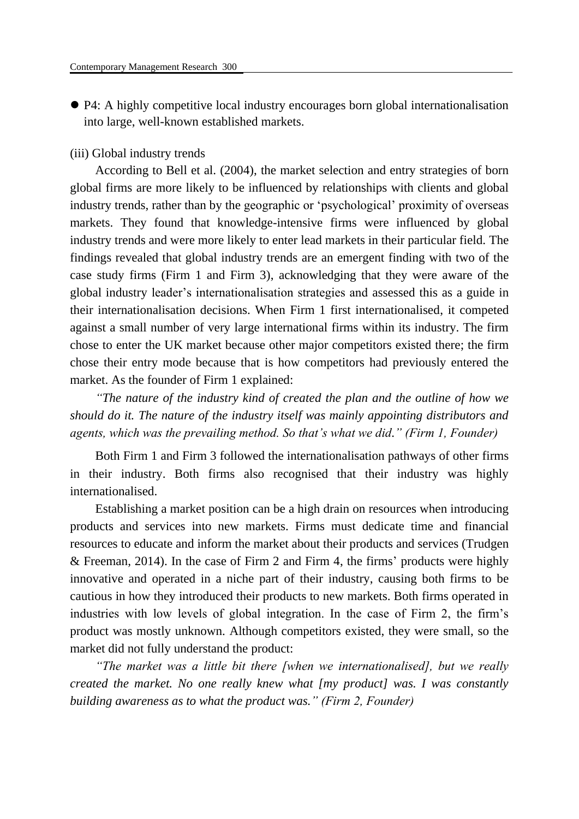P4: A highly competitive local industry encourages born global internationalisation into large, well-known established markets.

#### (iii) Global industry trends

According to Bell et al. (2004), the market selection and entry strategies of born global firms are more likely to be influenced by relationships with clients and global industry trends, rather than by the geographic or 'psychological' proximity of overseas markets. They found that knowledge-intensive firms were influenced by global industry trends and were more likely to enter lead markets in their particular field. The findings revealed that global industry trends are an emergent finding with two of the case study firms (Firm 1 and Firm 3), acknowledging that they were aware of the global industry leader's internationalisation strategies and assessed this as a guide in their internationalisation decisions. When Firm 1 first internationalised, it competed against a small number of very large international firms within its industry. The firm chose to enter the UK market because other major competitors existed there; the firm chose their entry mode because that is how competitors had previously entered the market. As the founder of Firm 1 explained:

*"The nature of the industry kind of created the plan and the outline of how we should do it. The nature of the industry itself was mainly appointing distributors and agents, which was the prevailing method. So that's what we did." (Firm 1, Founder)*

Both Firm 1 and Firm 3 followed the internationalisation pathways of other firms in their industry. Both firms also recognised that their industry was highly internationalised.

Establishing a market position can be a high drain on resources when introducing products and services into new markets. Firms must dedicate time and financial resources to educate and inform the market about their products and services (Trudgen & Freeman, 2014). In the case of Firm 2 and Firm 4, the firms' products were highly innovative and operated in a niche part of their industry, causing both firms to be cautious in how they introduced their products to new markets. Both firms operated in industries with low levels of global integration. In the case of Firm 2, the firm's product was mostly unknown. Although competitors existed, they were small, so the market did not fully understand the product:

*"The market was a little bit there [when we internationalised], but we really created the market. No one really knew what [my product] was. I was constantly building awareness as to what the product was." (Firm 2, Founder)*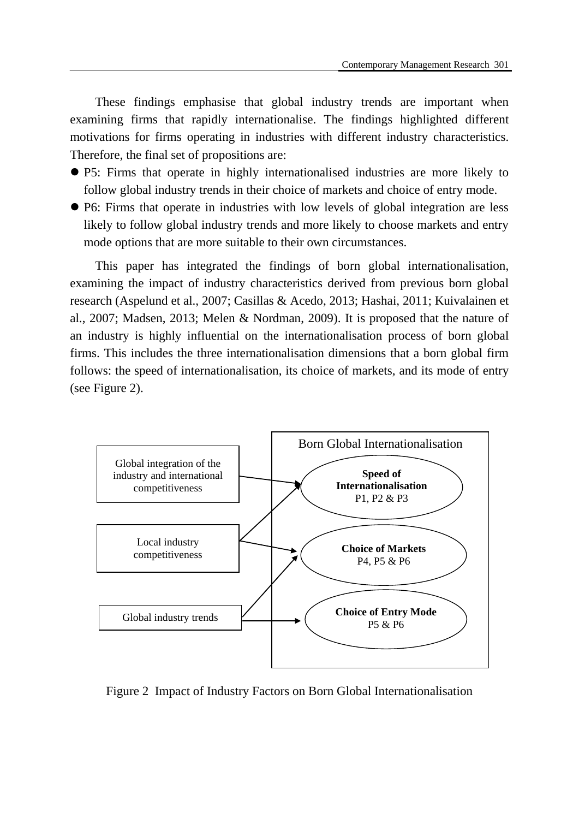These findings emphasise that global industry trends are important when examining firms that rapidly internationalise. The findings highlighted different motivations for firms operating in industries with different industry characteristics. Therefore, the final set of propositions are:

- P5: Firms that operate in highly internationalised industries are more likely to follow global industry trends in their choice of markets and choice of entry mode.
- P6: Firms that operate in industries with low levels of global integration are less likely to follow global industry trends and more likely to choose markets and entry mode options that are more suitable to their own circumstances.

This paper has integrated the findings of born global internationalisation, examining the impact of industry characteristics derived from previous born global research (Aspelund et al., 2007; Casillas & Acedo, 2013; Hashai, 2011; Kuivalainen et al., 2007; Madsen, 2013; Melen & Nordman, 2009). It is proposed that the nature of an industry is highly influential on the internationalisation process of born global firms. This includes the three internationalisation dimensions that a born global firm follows: the speed of internationalisation, its choice of markets, and its mode of entry (see Figure 2).



Figure 2 Impact of Industry Factors on Born Global Internationalisation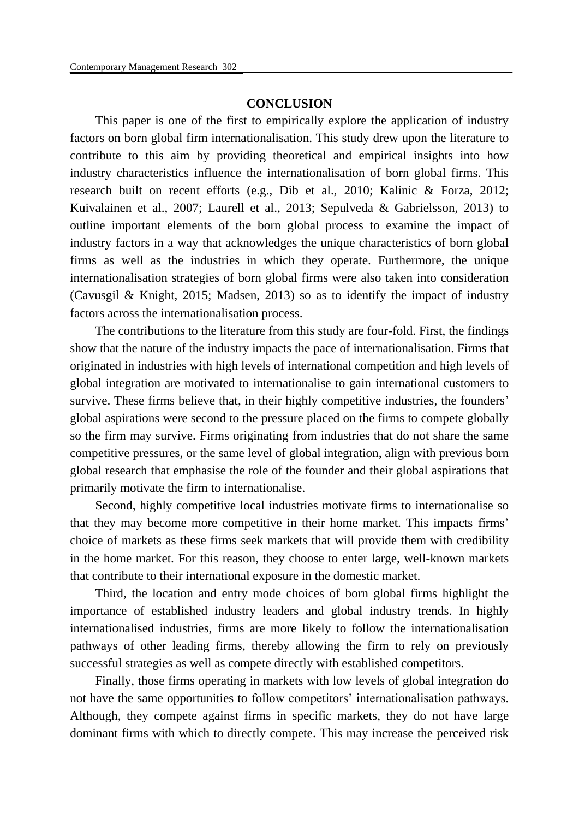#### **CONCLUSION**

This paper is one of the first to empirically explore the application of industry factors on born global firm internationalisation. This study drew upon the literature to contribute to this aim by providing theoretical and empirical insights into how industry characteristics influence the internationalisation of born global firms. This research built on recent efforts (e.g., Dib et al., 2010; Kalinic & Forza, 2012; Kuivalainen et al., 2007; Laurell et al., 2013; Sepulveda & Gabrielsson, 2013) to outline important elements of the born global process to examine the impact of industry factors in a way that acknowledges the unique characteristics of born global firms as well as the industries in which they operate. Furthermore, the unique internationalisation strategies of born global firms were also taken into consideration (Cavusgil & Knight, 2015; Madsen, 2013) so as to identify the impact of industry factors across the internationalisation process.

The contributions to the literature from this study are four-fold. First, the findings show that the nature of the industry impacts the pace of internationalisation. Firms that originated in industries with high levels of international competition and high levels of global integration are motivated to internationalise to gain international customers to survive. These firms believe that, in their highly competitive industries, the founders' global aspirations were second to the pressure placed on the firms to compete globally so the firm may survive. Firms originating from industries that do not share the same competitive pressures, or the same level of global integration, align with previous born global research that emphasise the role of the founder and their global aspirations that primarily motivate the firm to internationalise.

Second, highly competitive local industries motivate firms to internationalise so that they may become more competitive in their home market. This impacts firms' choice of markets as these firms seek markets that will provide them with credibility in the home market. For this reason, they choose to enter large, well-known markets that contribute to their international exposure in the domestic market.

Third, the location and entry mode choices of born global firms highlight the importance of established industry leaders and global industry trends. In highly internationalised industries, firms are more likely to follow the internationalisation pathways of other leading firms, thereby allowing the firm to rely on previously successful strategies as well as compete directly with established competitors.

Finally, those firms operating in markets with low levels of global integration do not have the same opportunities to follow competitors' internationalisation pathways. Although, they compete against firms in specific markets, they do not have large dominant firms with which to directly compete. This may increase the perceived risk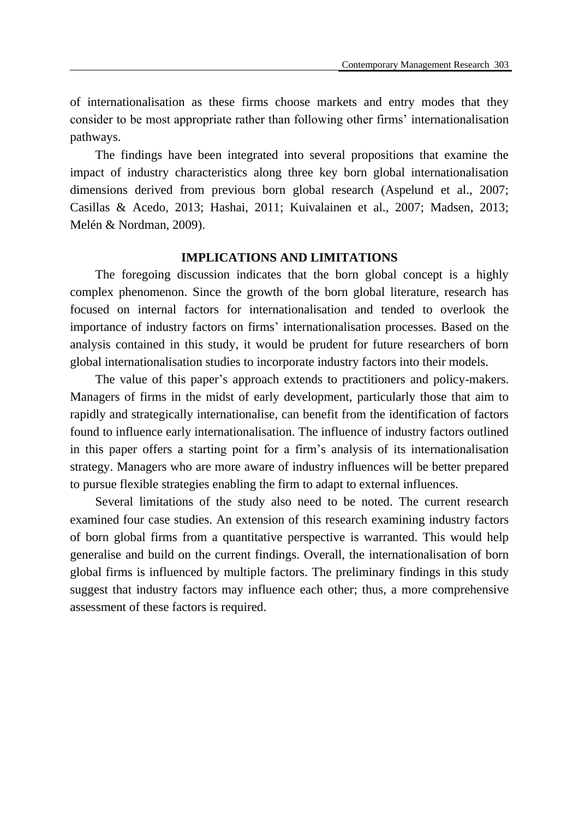of internationalisation as these firms choose markets and entry modes that they consider to be most appropriate rather than following other firms' internationalisation pathways.

The findings have been integrated into several propositions that examine the impact of industry characteristics along three key born global internationalisation dimensions derived from previous born global research (Aspelund et al., 2007; Casillas & Acedo, 2013; Hashai, 2011; Kuivalainen et al., 2007; Madsen, 2013; Melén & Nordman, 2009).

#### **IMPLICATIONS AND LIMITATIONS**

The foregoing discussion indicates that the born global concept is a highly complex phenomenon. Since the growth of the born global literature, research has focused on internal factors for internationalisation and tended to overlook the importance of industry factors on firms' internationalisation processes. Based on the analysis contained in this study, it would be prudent for future researchers of born global internationalisation studies to incorporate industry factors into their models.

The value of this paper's approach extends to practitioners and policy-makers. Managers of firms in the midst of early development, particularly those that aim to rapidly and strategically internationalise, can benefit from the identification of factors found to influence early internationalisation. The influence of industry factors outlined in this paper offers a starting point for a firm's analysis of its internationalisation strategy. Managers who are more aware of industry influences will be better prepared to pursue flexible strategies enabling the firm to adapt to external influences.

Several limitations of the study also need to be noted. The current research examined four case studies. An extension of this research examining industry factors of born global firms from a quantitative perspective is warranted. This would help generalise and build on the current findings. Overall, the internationalisation of born global firms is influenced by multiple factors. The preliminary findings in this study suggest that industry factors may influence each other; thus, a more comprehensive assessment of these factors is required.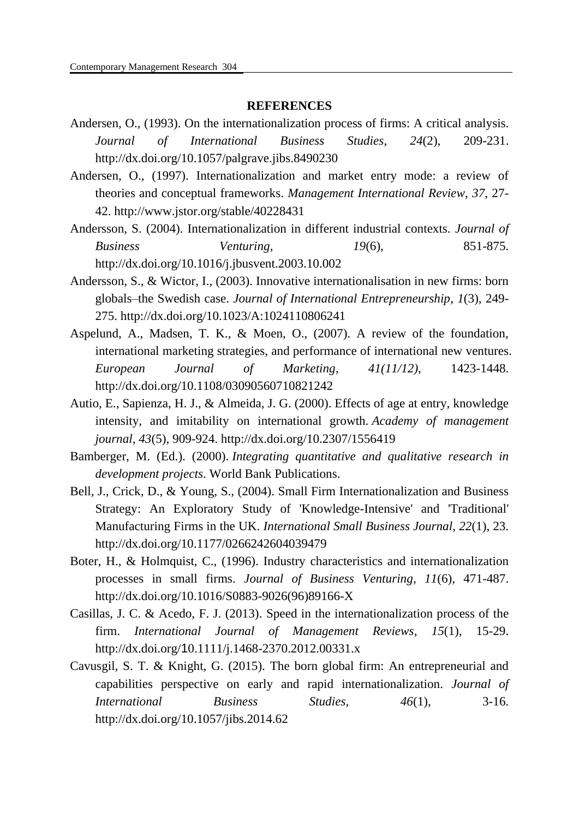#### **REFERENCES**

- Andersen, O., (1993). On the internationalization process of firms: A critical analysis. *Journal of International Business Studies*, *24*(2), 209-231. <http://dx.doi.org/10.1057/palgrave.jibs.8490230>
- Andersen, O., (1997). Internationalization and market entry mode: a review of theories and conceptual frameworks. *Management International Review*, *37*, 27- 42.<http://www.jstor.org/stable/40228431>
- Andersson, S. (2004). Internationalization in different industrial contexts. *Journal of Business Venturing, 19*(6), 851-875. <http://dx.doi.org/10.1016/j.jbusvent.2003.10.002>
- Andersson, S., & Wictor, I., (2003). Innovative internationalisation in new firms: born globals–the Swedish case. *Journal of International Entrepreneurship*, *1*(3), 249- 275.<http://dx.doi.org/10.1023/A:1024110806241>
- Aspelund, A., Madsen, T. K., & Moen, O., (2007). A review of the foundation, international marketing strategies, and performance of international new ventures. *European Journal of Marketing*, *41(11/12)*, 1423-1448. <http://dx.doi.org/10.1108/03090560710821242>
- Autio, E., Sapienza, H. J., & Almeida, J. G. (2000). Effects of age at entry, knowledge intensity, and imitability on international growth. *Academy of management journal*, *43*(5), 909-924. <http://dx.doi.org/10.2307/1556419>
- Bamberger, M. (Ed.). (2000). *Integrating quantitative and qualitative research in development projects*. World Bank Publications.
- Bell, J., Crick, D., & Young, S., (2004). Small Firm Internationalization and Business Strategy: An Exploratory Study of 'Knowledge-Intensive' and 'Traditional' Manufacturing Firms in the UK. *International Small Business Journal*, *22*(1), 23. <http://dx.doi.org/10.1177/0266242604039479>
- Boter, H., & Holmquist, C., (1996). Industry characteristics and internationalization processes in small firms. *Journal of Business Venturing*, *11*(6), 471-487. [http://dx.doi.org/10.1016/S0883-9026\(96\)89166-X](http://dx.doi.org/10.1016/S0883-9026(96)89166-X)
- Casillas, J. C. & Acedo, F. J. (2013). Speed in the internationalization process of the firm. *International Journal of Management Reviews*, *15*(1), 15-29. http://dx.doi.org/1[0.1111/j.1468-2370.2012.00331.x](http://dx.doi.org/10.1111/j.1468-2370.2012.00331.x)
- Cavusgil, S. T. & Knight, G. (2015). The born global firm: An entrepreneurial and capabilities perspective on early and rapid internationalization. *Journal of International Business Studies, 46*(1), 3-16. <http://dx.doi.org/10.1057/jibs.2014.62>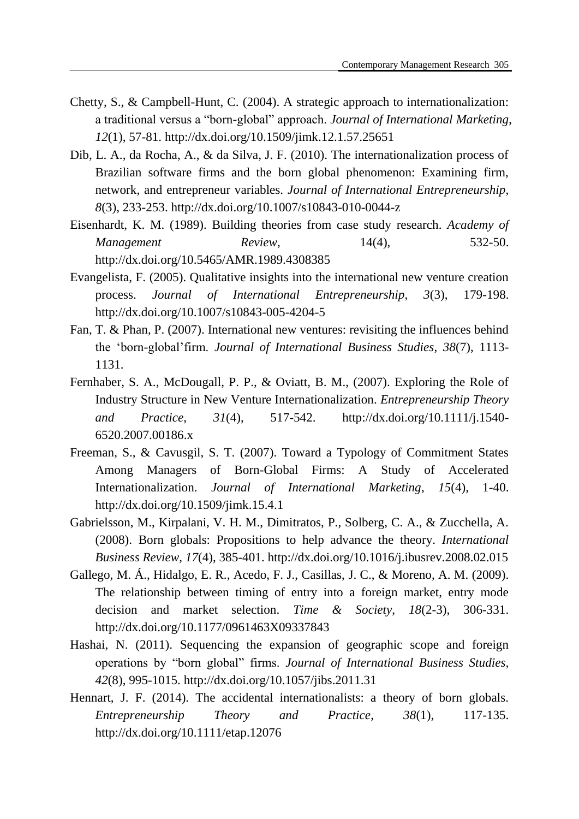- Chetty, S., & Campbell-Hunt, C. (2004). A strategic approach to internationalization: a traditional versus a "born-global" approach. *Journal of International Marketing*, *12*(1), 57-81.<http://dx.doi.org/10.1509/jimk.12.1.57.25651>
- Dib, L. A., da Rocha, A., & da Silva, J. F. (2010). The internationalization process of Brazilian software firms and the born global phenomenon: Examining firm, network, and entrepreneur variables. *Journal of International Entrepreneurship*, *8*(3), 233-253.<http://dx.doi.org/10.1007/s10843-010-0044-z>
- Eisenhardt, K. M. (1989). Building theories from case study research. *Academy of Management Review*, 14(4), 532-50. <http://dx.doi.org/10.5465/AMR.1989.4308385>
- Evangelista, F. (2005). Qualitative insights into the international new venture creation process. *Journal of International Entrepreneurship*, *3*(3), 179-198. <http://dx.doi.org/10.1007/s10843-005-4204-5>
- Fan, T. & Phan, P. (2007). International new ventures: revisiting the influences behind the 'born-global'firm. *Journal of International Business Studies*, *38*(7), 1113- 1131.
- Fernhaber, S. A., McDougall, P. P., & Oviatt, B. M., (2007). Exploring the Role of Industry Structure in New Venture Internationalization. *Entrepreneurship Theory and Practice*, *31*(4), 517-542. [http://dx.doi.org/10.1111/j.1540-](http://dx.doi.org/10.1111/j.1540-6520.2007.00186.x) [6520.2007.00186.x](http://dx.doi.org/10.1111/j.1540-6520.2007.00186.x)
- Freeman, S., & Cavusgil, S. T. (2007). Toward a Typology of Commitment States Among Managers of Born-Global Firms: A Study of Accelerated Internationalization. *Journal of International Marketing*, *15*(4), 1-40. <http://dx.doi.org/10.1509/jimk.15.4.1>
- Gabrielsson, M., Kirpalani, V. H. M., Dimitratos, P., Solberg, C. A., & Zucchella, A. (2008). Born globals: Propositions to help advance the theory. *International Business Review*, *17*(4), 385-401.<http://dx.doi.org/10.1016/j.ibusrev.2008.02.015>
- Gallego, M. Á ., Hidalgo, E. R., Acedo, F. J., Casillas, J. C., & Moreno, A. M. (2009). The relationship between timing of entry into a foreign market, entry mode decision and market selection. *Time & Society*, *18*(2-3), 306-331. http://dx.doi.org/10.1177/0961463X09337843
- Hashai, N. (2011). Sequencing the expansion of geographic scope and foreign operations by "born global" firms. *Journal of International Business Studies, 42*(8), 995-1015. <http://dx.doi.org/10.1057/jibs.2011.31>
- Hennart, J. F. (2014). The accidental internationalists: a theory of born globals. *Entrepreneurship Theory and Practice*, *38*(1), 117-135. <http://dx.doi.org/10.1111/etap.12076>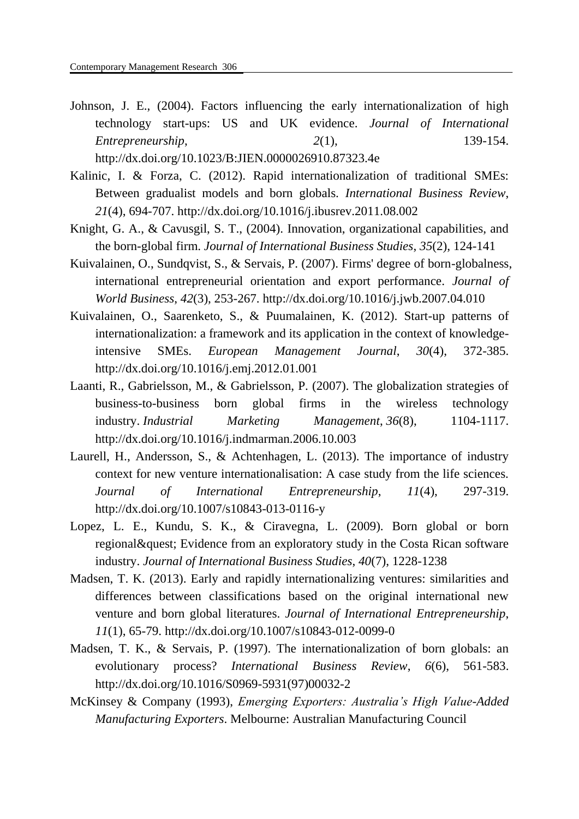- Johnson, J. E., (2004). Factors influencing the early internationalization of high technology start-ups: US and UK evidence. *Journal of International Entrepreneurship*, *2*(1), 139-154. http://dx.doi.org/10.1023/B:JIEN.0000026910.87323.4e
- Kalinic, I. & Forza, C. (2012). Rapid internationalization of traditional SMEs: Between gradualist models and born globals. *International Business Review*, *21*(4), 694-707. http://dx.doi.org/10.1016/j.ibusrev.2011.08.002
- Knight, G. A., & Cavusgil, S. T., (2004). Innovation, organizational capabilities, and the born-global firm. *Journal of International Business Studies*, *35*(2), 124-141
- Kuivalainen, O., Sundqvist, S., & Servais, P. (2007). Firms' degree of born-globalness, international entrepreneurial orientation and export performance. *Journal of World Business*, *42*(3), 253-267.<http://dx.doi.org/10.1016/j.jwb.2007.04.010>
- Kuivalainen, O., Saarenketo, S., & Puumalainen, K. (2012). Start-up patterns of internationalization: a framework and its application in the context of knowledgeintensive SMEs. *European Management Journal*, *30*(4), 372-385. <http://dx.doi.org/10.1016/j.emj.2012.01.001>
- Laanti, R., Gabrielsson, M., & Gabrielsson, P. (2007). The globalization strategies of business-to-business born global firms in the wireless technology industry. *Industrial Marketing Management*, *36*(8), 1104-1117. http://dx.doi.org/10.1016/j.indmarman.2006.10.003
- Laurell, H., Andersson, S., & Achtenhagen, L. (2013). The importance of industry context for new venture internationalisation: A case study from the life sciences. *Journal of International Entrepreneurship*, *11*(4), 297-319. <http://dx.doi.org/10.1007/s10843-013-0116-y>
- Lopez, L. E., Kundu, S. K., & Ciravegna, L. (2009). Born global or born regional? Evidence from an exploratory study in the Costa Rican software industry. *Journal of International Business Studies*, *40*(7), 1228-1238
- Madsen, T. K. (2013). Early and rapidly internationalizing ventures: similarities and differences between classifications based on the original international new venture and born global literatures. *Journal of International Entrepreneurship*, *11*(1), 65-79.<http://dx.doi.org/10.1007/s10843-012-0099-0>
- Madsen, T. K., & Servais, P. (1997). The internationalization of born globals: an evolutionary process? *International Business Review*, *6*(6), 561-583. [http://dx.doi.org/10.1016/S0969-5931\(97\)00032-2](http://dx.doi.org/10.1016/S0969-5931(97)00032-2)
- McKinsey & Company (1993), *Emerging Exporters: Australia's High Value-Added Manufacturing Exporters*. Melbourne: Australian Manufacturing Council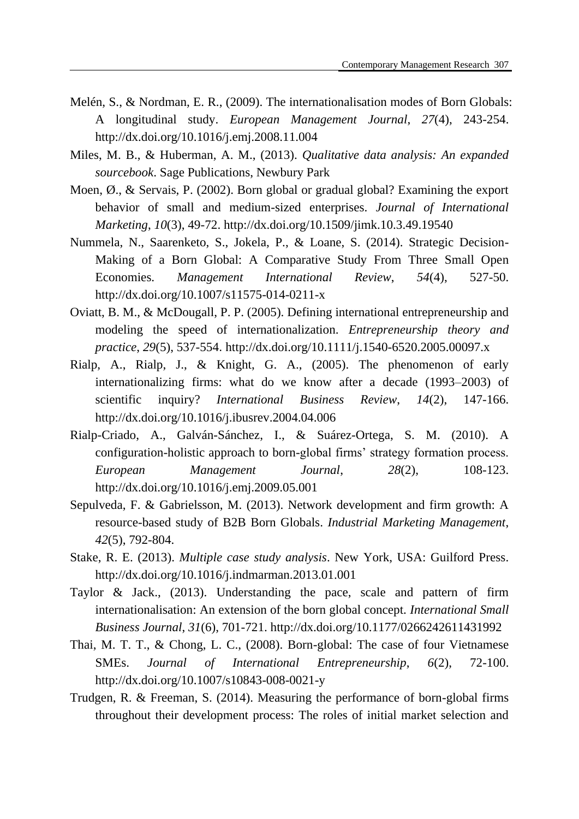- Melén, S., & Nordman, E. R., (2009). The internationalisation modes of Born Globals: A longitudinal study. *European Management Journal*, *27*(4), 243-254. <http://dx.doi.org/10.1016/j.emj.2008.11.004>
- Miles, M. B., & Huberman, A. M., (2013). *Qualitative data analysis: An expanded sourcebook*. Sage Publications, Newbury Park
- Moen,  $\emptyset$ , & Servais, P. (2002). Born global or gradual global? Examining the export behavior of small and medium-sized enterprises. *Journal of International Marketing*, *10*(3), 49-72. <http://dx.doi.org/10.1509/jimk.10.3.49.19540>
- Nummela, N., Saarenketo, S., Jokela, P., & Loane, S. (2014). Strategic Decision-Making of a Born Global: A Comparative Study From Three Small Open Economies. *Management International Review*, *54*(4), 527-50. <http://dx.doi.org/10.1007/s11575-014-0211-x>
- Oviatt, B. M., & McDougall, P. P. (2005). Defining international entrepreneurship and modeling the speed of internationalization. *Entrepreneurship theory and practice*, *29*(5), 537-554. <http://dx.doi.org/10.1111/j.1540-6520.2005.00097.x>
- Rialp, A., Rialp, J., & Knight, G. A., (2005). The phenomenon of early internationalizing firms: what do we know after a decade (1993–2003) of scientific inquiry? *International Business Review*, *14*(2), 147-166. <http://dx.doi.org/10.1016/j.ibusrev.2004.04.006>
- Rialp-Criado, A., Galván-Sánchez, I., & Suárez-Ortega, S. M. (2010). A configuration-holistic approach to born-global firms' strategy formation process. *European Management Journal*, *28*(2), 108-123. <http://dx.doi.org/10.1016/j.emj.2009.05.001>
- Sepulveda, F. & Gabrielsson, M. (2013). Network development and firm growth: A resource-based study of B2B Born Globals. *Industrial Marketing Management*, *42*(5), 792-804.
- Stake, R. E. (2013). *Multiple case study analysis*. New York, USA: Guilford Press. <http://dx.doi.org/10.1016/j.indmarman.2013.01.001>
- Taylor & Jack., (2013). Understanding the pace, scale and pattern of firm internationalisation: An extension of the born global concept. *International Small Business Journal*, *31*(6), 701-721.<http://dx.doi.org/10.1177/0266242611431992>
- Thai, M. T. T., & Chong, L. C., (2008). Born-global: The case of four Vietnamese SMEs. *Journal of International Entrepreneurship*, *6*(2), 72-100. <http://dx.doi.org/10.1007/s10843-008-0021-y>
- Trudgen, R. & Freeman, S. (2014). Measuring the performance of born-global firms throughout their development process: The roles of initial market selection and